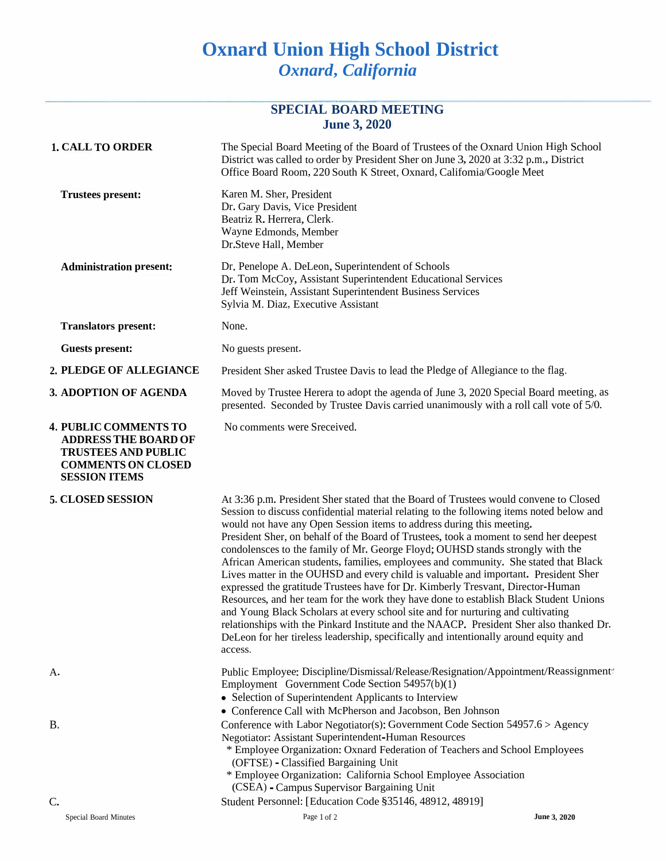## **Oxnard Union High School District** *Oxnard***,** *California*

## **SPECIAL BOARD MEETING June 3, 2020**

| <b>1. CALL TO ORDER</b>                                                                                                                        | The Special Board Meeting of the Board of Trustees of the Oxnard Union High School<br>District was called to order by President Sher on June 3, 2020 at 3:32 p.m., District<br>Office Board Room, 220 South K Street, Oxnard, Califomia/Google Meet                                                                                                                                                                                                                                                                                                                                                                                                                                                                                                                                                                                                                                                                                                                                                                                                                              |              |
|------------------------------------------------------------------------------------------------------------------------------------------------|----------------------------------------------------------------------------------------------------------------------------------------------------------------------------------------------------------------------------------------------------------------------------------------------------------------------------------------------------------------------------------------------------------------------------------------------------------------------------------------------------------------------------------------------------------------------------------------------------------------------------------------------------------------------------------------------------------------------------------------------------------------------------------------------------------------------------------------------------------------------------------------------------------------------------------------------------------------------------------------------------------------------------------------------------------------------------------|--------------|
| <b>Trustees present:</b>                                                                                                                       | Karen M. Sher, President<br>Dr. Gary Davis, Vice President<br>Beatriz R. Herrera, Clerk.<br>Wayne Edmonds, Member<br>Dr.Steve Hall, Member                                                                                                                                                                                                                                                                                                                                                                                                                                                                                                                                                                                                                                                                                                                                                                                                                                                                                                                                       |              |
| <b>Administration present:</b>                                                                                                                 | Dr. Penelope A. DeLeon, Superintendent of Schools<br>Dr. Tom McCoy, Assistant Superintendent Educational Services<br>Jeff Weinstein, Assistant Superintendent Business Services<br>Sylvia M. Diaz, Executive Assistant                                                                                                                                                                                                                                                                                                                                                                                                                                                                                                                                                                                                                                                                                                                                                                                                                                                           |              |
| <b>Translators present:</b>                                                                                                                    | None.                                                                                                                                                                                                                                                                                                                                                                                                                                                                                                                                                                                                                                                                                                                                                                                                                                                                                                                                                                                                                                                                            |              |
| <b>Guests present:</b>                                                                                                                         | No guests present.                                                                                                                                                                                                                                                                                                                                                                                                                                                                                                                                                                                                                                                                                                                                                                                                                                                                                                                                                                                                                                                               |              |
| 2. PLEDGE OF ALLEGIANCE                                                                                                                        | President Sher asked Trustee Davis to lead the Pledge of Allegiance to the flag.                                                                                                                                                                                                                                                                                                                                                                                                                                                                                                                                                                                                                                                                                                                                                                                                                                                                                                                                                                                                 |              |
| 3. ADOPTION OF AGENDA                                                                                                                          | Moved by Trustee Herera to adopt the agenda of June 3, 2020 Special Board meeting, as<br>presented. Seconded by Trustee Davis carried unanimously with a roll call vote of 5/0.                                                                                                                                                                                                                                                                                                                                                                                                                                                                                                                                                                                                                                                                                                                                                                                                                                                                                                  |              |
| <b>4. PUBLIC COMMENTS TO</b><br><b>ADDRESS THE BOARD OF</b><br><b>TRUSTEES AND PUBLIC</b><br><b>COMMENTS ON CLOSED</b><br><b>SESSION ITEMS</b> | No comments were Sreceived.                                                                                                                                                                                                                                                                                                                                                                                                                                                                                                                                                                                                                                                                                                                                                                                                                                                                                                                                                                                                                                                      |              |
| 5. CLOSED SESSION                                                                                                                              | At 3:36 p.m. President Sher stated that the Board of Trustees would convene to Closed<br>Session to discuss confidential material relating to the following items noted below and<br>would not have any Open Session items to address during this meeting.<br>President Sher, on behalf of the Board of Trustees, took a moment to send her deepest<br>condolensces to the family of Mr. George Floyd; OUHSD stands strongly with the<br>African American students, families, employees and community. She stated that Black<br>Lives matter in the OUHSD and every child is valuable and important. President Sher<br>expressed the gratitude Trustees have for Dr. Kimberly Tresvant, Director-Human<br>Resources, and her team for the work they have done to establish Black Student Unions<br>and Young Black Scholars at every school site and for nurturing and cultivating<br>relationships with the Pinkard Institute and the NAACP. President Sher also thanked Dr.<br>DeLeon for her tireless leadership, specifically and intentionally around equity and<br>access. |              |
| А.                                                                                                                                             | Public Employee: Discipline/Dismissal/Release/Resignation/Appointment/Reassignment/<br>Employment Government Code Section 54957(b)(1)<br>• Selection of Superintendent Applicants to Interview<br>• Conference Call with McPherson and Jacobson, Ben Johnson                                                                                                                                                                                                                                                                                                                                                                                                                                                                                                                                                                                                                                                                                                                                                                                                                     |              |
| <b>B.</b>                                                                                                                                      | Conference with Labor Negotiator(s): Government Code Section 54957.6 > Agency<br><b>Negotiator: Assistant Superintendent-Human Resources</b><br>* Employee Organization: Oxnard Federation of Teachers and School Employees<br>(OFTSE) - Classified Bargaining Unit<br>* Employee Organization: California School Employee Association<br>(CSEA) - Campus Supervisor Bargaining Unit                                                                                                                                                                                                                                                                                                                                                                                                                                                                                                                                                                                                                                                                                             |              |
| C.                                                                                                                                             | Student Personnel: [Education Code §35146, 48912, 48919]                                                                                                                                                                                                                                                                                                                                                                                                                                                                                                                                                                                                                                                                                                                                                                                                                                                                                                                                                                                                                         |              |
| Special Board Minutes                                                                                                                          | Page 1 of 2                                                                                                                                                                                                                                                                                                                                                                                                                                                                                                                                                                                                                                                                                                                                                                                                                                                                                                                                                                                                                                                                      | June 3, 2020 |